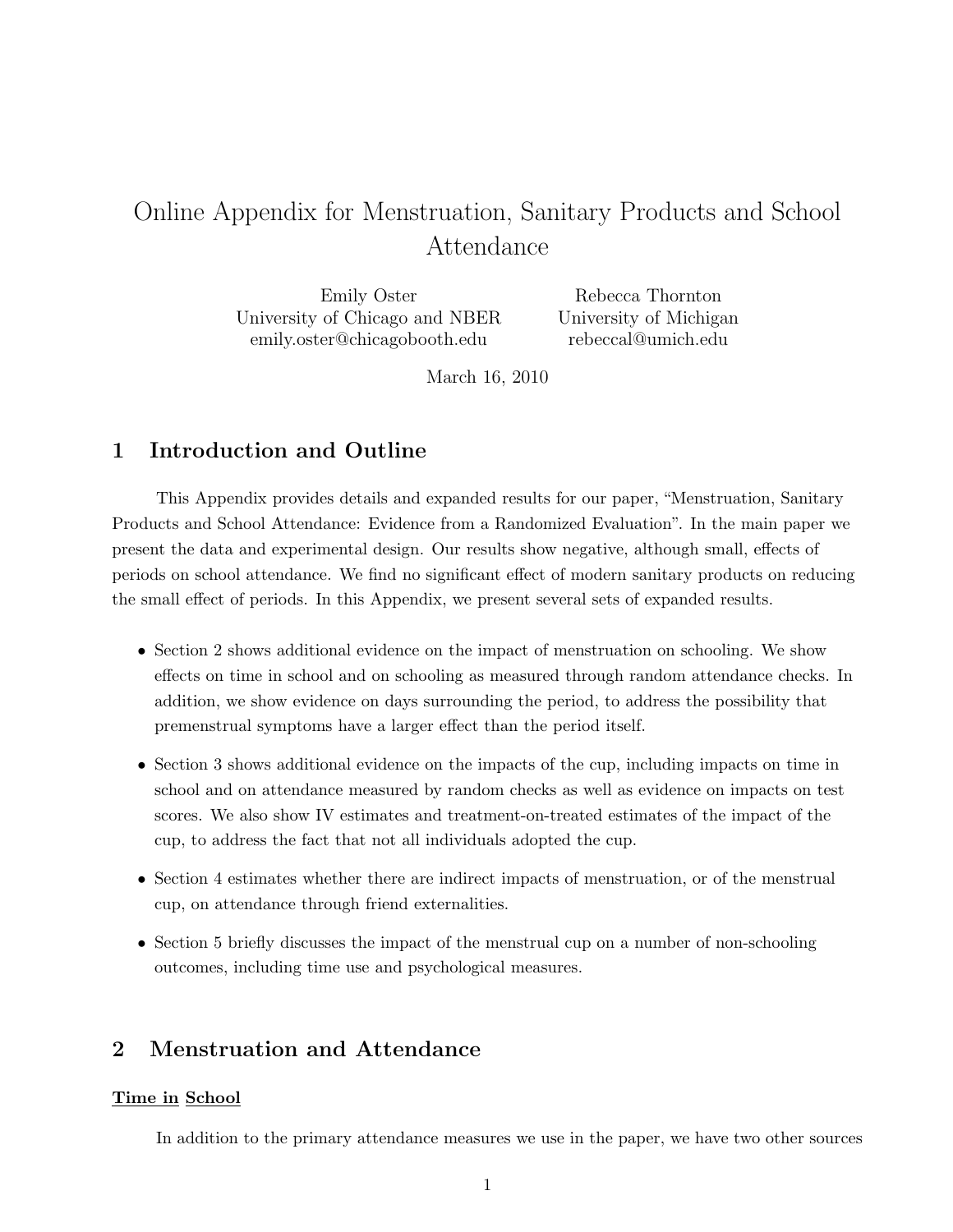# Online Appendix for Menstruation, Sanitary Products and School Attendance

Emily Oster University of Chicago and NBER emily.oster@chicagobooth.edu

Rebecca Thornton University of Michigan rebeccal@umich.edu

March 16, 2010

# 1 Introduction and Outline

This Appendix provides details and expanded results for our paper, "Menstruation, Sanitary Products and School Attendance: Evidence from a Randomized Evaluation". In the main paper we present the data and experimental design. Our results show negative, although small, effects of periods on school attendance. We find no significant effect of modern sanitary products on reducing the small effect of periods. In this Appendix, we present several sets of expanded results.

- Section 2 shows additional evidence on the impact of menstruation on schooling. We show effects on time in school and on schooling as measured through random attendance checks. In addition, we show evidence on days surrounding the period, to address the possibility that premenstrual symptoms have a larger effect than the period itself.
- Section 3 shows additional evidence on the impacts of the cup, including impacts on time in school and on attendance measured by random checks as well as evidence on impacts on test scores. We also show IV estimates and treatment-on-treated estimates of the impact of the cup, to address the fact that not all individuals adopted the cup.
- Section 4 estimates whether there are indirect impacts of menstruation, or of the menstrual cup, on attendance through friend externalities.
- Section 5 briefly discusses the impact of the menstrual cup on a number of non-schooling outcomes, including time use and psychological measures.

# 2 Menstruation and Attendance

#### Time in School

In addition to the primary attendance measures we use in the paper, we have two other sources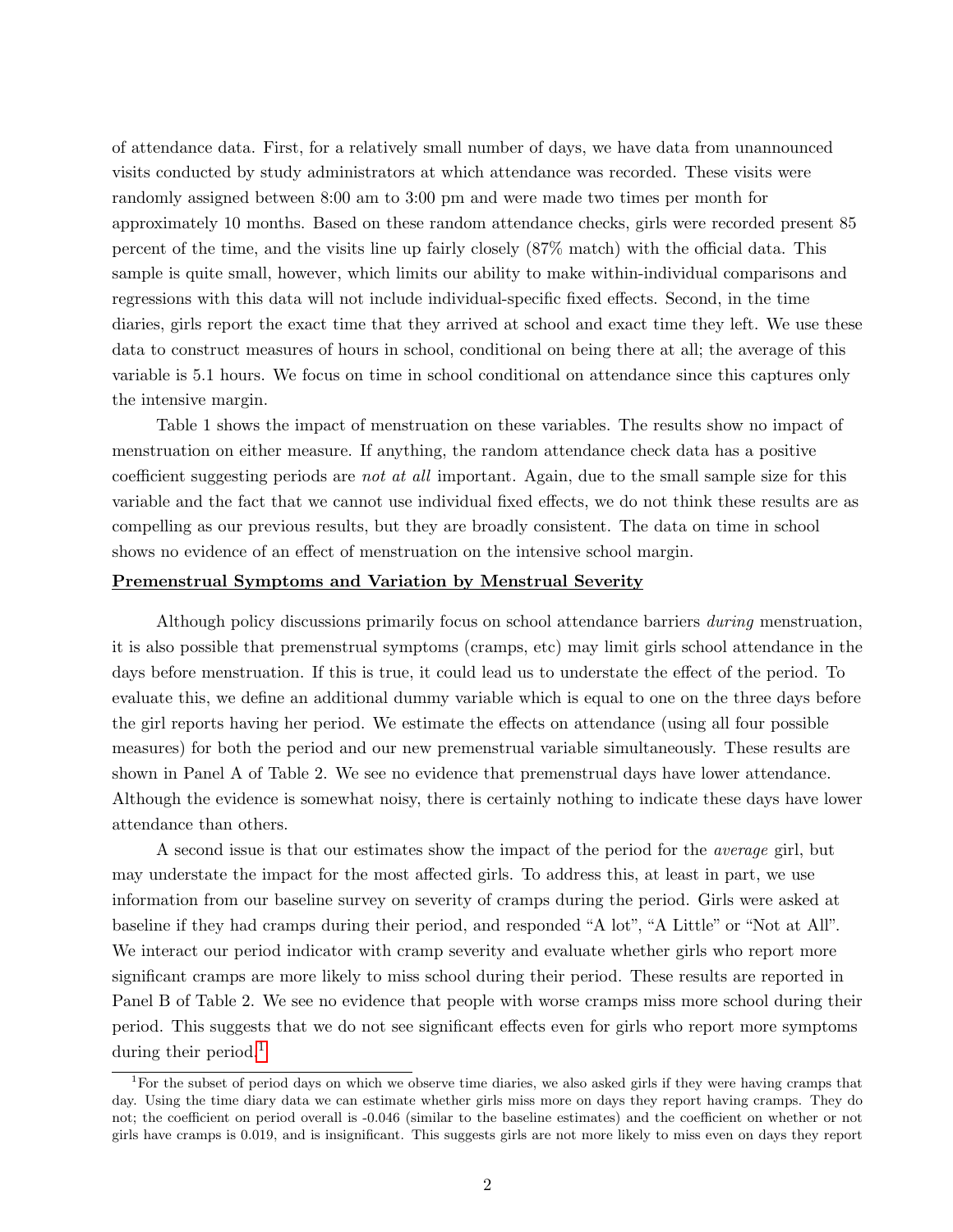of attendance data. First, for a relatively small number of days, we have data from unannounced visits conducted by study administrators at which attendance was recorded. These visits were randomly assigned between 8:00 am to 3:00 pm and were made two times per month for approximately 10 months. Based on these random attendance checks, girls were recorded present 85 percent of the time, and the visits line up fairly closely (87% match) with the official data. This sample is quite small, however, which limits our ability to make within-individual comparisons and regressions with this data will not include individual-specific fixed effects. Second, in the time diaries, girls report the exact time that they arrived at school and exact time they left. We use these data to construct measures of hours in school, conditional on being there at all; the average of this variable is 5.1 hours. We focus on time in school conditional on attendance since this captures only the intensive margin.

Table 1 shows the impact of menstruation on these variables. The results show no impact of menstruation on either measure. If anything, the random attendance check data has a positive coefficient suggesting periods are not at all important. Again, due to the small sample size for this variable and the fact that we cannot use individual fixed effects, we do not think these results are as compelling as our previous results, but they are broadly consistent. The data on time in school shows no evidence of an effect of menstruation on the intensive school margin.

### Premenstrual Symptoms and Variation by Menstrual Severity

Although policy discussions primarily focus on school attendance barriers during menstruation, it is also possible that premenstrual symptoms (cramps, etc) may limit girls school attendance in the days before menstruation. If this is true, it could lead us to understate the effect of the period. To evaluate this, we define an additional dummy variable which is equal to one on the three days before the girl reports having her period. We estimate the effects on attendance (using all four possible measures) for both the period and our new premenstrual variable simultaneously. These results are shown in Panel A of Table 2. We see no evidence that premenstrual days have lower attendance. Although the evidence is somewhat noisy, there is certainly nothing to indicate these days have lower attendance than others.

A second issue is that our estimates show the impact of the period for the average girl, but may understate the impact for the most affected girls. To address this, at least in part, we use information from our baseline survey on severity of cramps during the period. Girls were asked at baseline if they had cramps during their period, and responded "A lot", "A Little" or "Not at All". We interact our period indicator with cramp severity and evaluate whether girls who report more significant cramps are more likely to miss school during their period. These results are reported in Panel B of Table 2. We see no evidence that people with worse cramps miss more school during their period. This suggests that we do not see significant effects even for girls who report more symptoms during their period.<sup>[1](#page-1-0)</sup>

<span id="page-1-0"></span><sup>&</sup>lt;sup>1</sup>For the subset of period days on which we observe time diaries, we also asked girls if they were having cramps that day. Using the time diary data we can estimate whether girls miss more on days they report having cramps. They do not; the coefficient on period overall is -0.046 (similar to the baseline estimates) and the coefficient on whether or not girls have cramps is 0.019, and is insignificant. This suggests girls are not more likely to miss even on days they report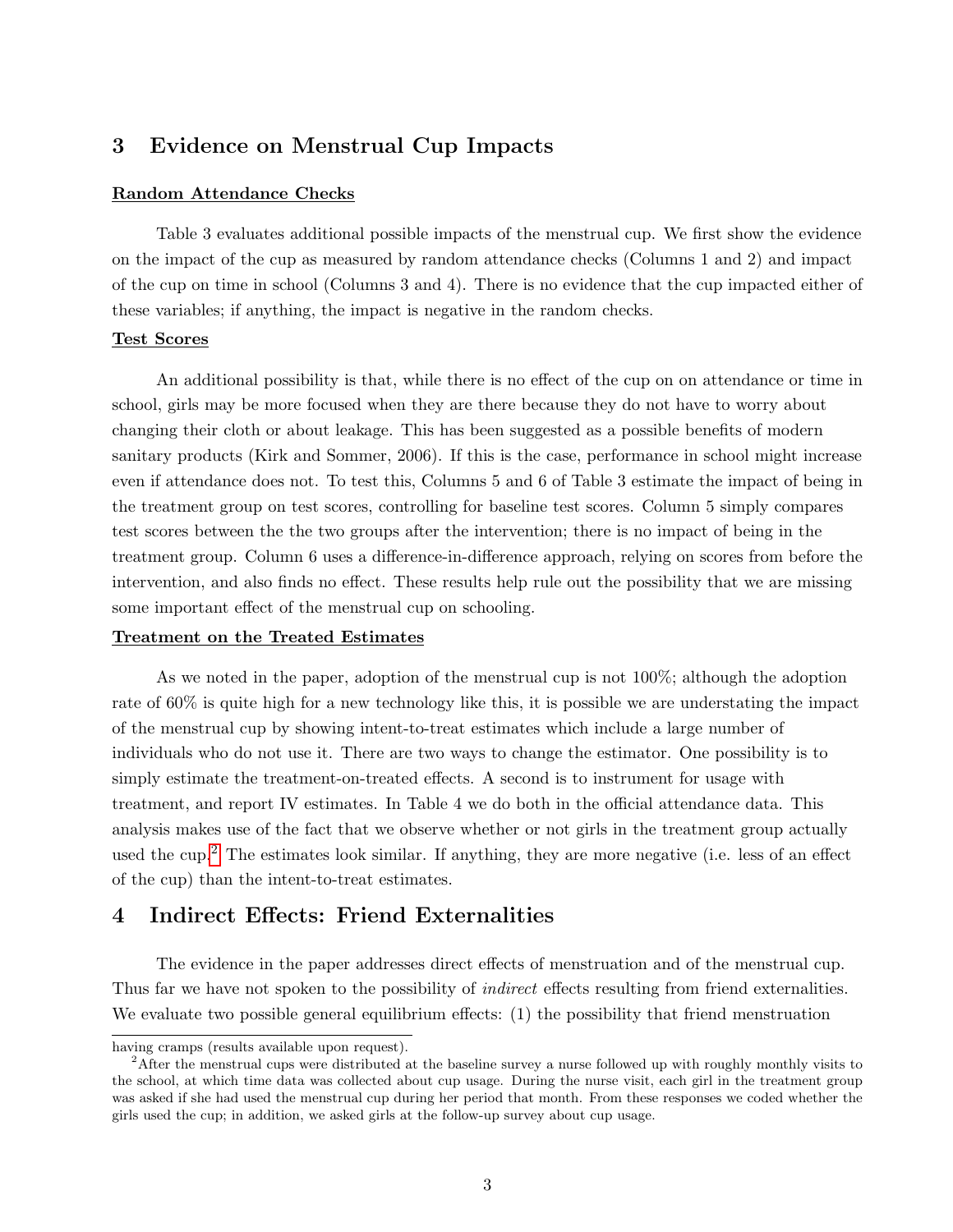## 3 Evidence on Menstrual Cup Impacts

#### Random Attendance Checks

Table 3 evaluates additional possible impacts of the menstrual cup. We first show the evidence on the impact of the cup as measured by random attendance checks (Columns 1 and 2) and impact of the cup on time in school (Columns 3 and 4). There is no evidence that the cup impacted either of these variables; if anything, the impact is negative in the random checks.

#### Test Scores

An additional possibility is that, while there is no effect of the cup on on attendance or time in school, girls may be more focused when they are there because they do not have to worry about changing their cloth or about leakage. This has been suggested as a possible benefits of modern sanitary products (Kirk and Sommer, 2006). If this is the case, performance in school might increase even if attendance does not. To test this, Columns 5 and 6 of Table 3 estimate the impact of being in the treatment group on test scores, controlling for baseline test scores. Column 5 simply compares test scores between the the two groups after the intervention; there is no impact of being in the treatment group. Column 6 uses a difference-in-difference approach, relying on scores from before the intervention, and also finds no effect. These results help rule out the possibility that we are missing some important effect of the menstrual cup on schooling.

#### Treatment on the Treated Estimates

As we noted in the paper, adoption of the menstrual cup is not 100%; although the adoption rate of 60% is quite high for a new technology like this, it is possible we are understating the impact of the menstrual cup by showing intent-to-treat estimates which include a large number of individuals who do not use it. There are two ways to change the estimator. One possibility is to simply estimate the treatment-on-treated effects. A second is to instrument for usage with treatment, and report IV estimates. In Table 4 we do both in the official attendance data. This analysis makes use of the fact that we observe whether or not girls in the treatment group actually used the cup.<sup>[2](#page-2-0)</sup> The estimates look similar. If anything, they are more negative (i.e. less of an effect of the cup) than the intent-to-treat estimates.

### 4 Indirect Effects: Friend Externalities

The evidence in the paper addresses direct effects of menstruation and of the menstrual cup. Thus far we have not spoken to the possibility of *indirect* effects resulting from friend externalities. We evaluate two possible general equilibrium effects: (1) the possibility that friend menstruation

having cramps (results available upon request).

<span id="page-2-0"></span><sup>&</sup>lt;sup>2</sup>After the menstrual cups were distributed at the baseline survey a nurse followed up with roughly monthly visits to the school, at which time data was collected about cup usage. During the nurse visit, each girl in the treatment group was asked if she had used the menstrual cup during her period that month. From these responses we coded whether the girls used the cup; in addition, we asked girls at the follow-up survey about cup usage.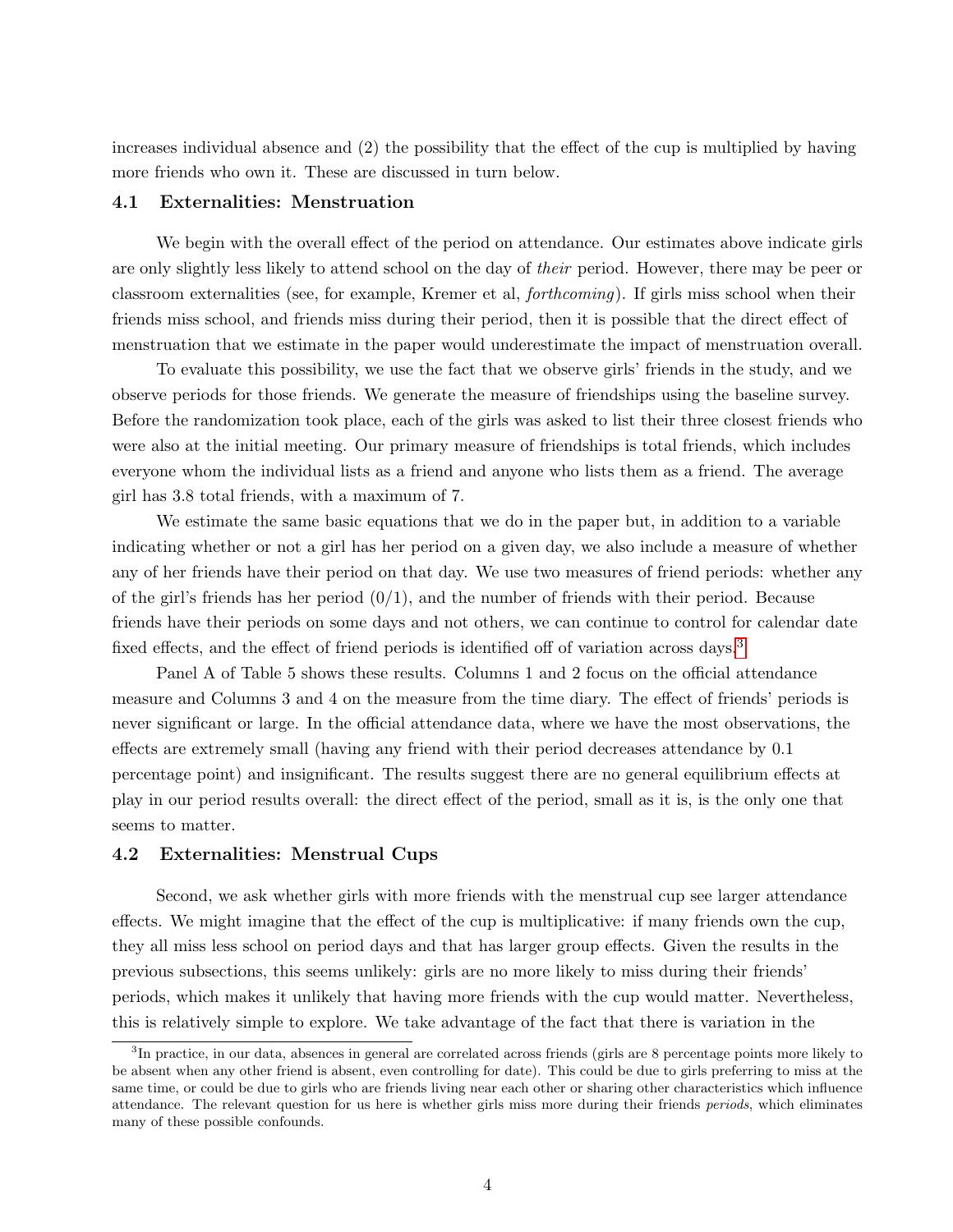increases individual absence and (2) the possibility that the effect of the cup is multiplied by having more friends who own it. These are discussed in turn below.

#### 4.1 Externalities: Menstruation

We begin with the overall effect of the period on attendance. Our estimates above indicate girls are only slightly less likely to attend school on the day of their period. However, there may be peer or classroom externalities (see, for example, Kremer et al, forthcoming). If girls miss school when their friends miss school, and friends miss during their period, then it is possible that the direct effect of menstruation that we estimate in the paper would underestimate the impact of menstruation overall.

To evaluate this possibility, we use the fact that we observe girls' friends in the study, and we observe periods for those friends. We generate the measure of friendships using the baseline survey. Before the randomization took place, each of the girls was asked to list their three closest friends who were also at the initial meeting. Our primary measure of friendships is total friends, which includes everyone whom the individual lists as a friend and anyone who lists them as a friend. The average girl has 3.8 total friends, with a maximum of 7.

We estimate the same basic equations that we do in the paper but, in addition to a variable indicating whether or not a girl has her period on a given day, we also include a measure of whether any of her friends have their period on that day. We use two measures of friend periods: whether any of the girl's friends has her period  $(0/1)$ , and the number of friends with their period. Because friends have their periods on some days and not others, we can continue to control for calendar date fixed effects, and the effect of friend periods is identified off of variation across days.<sup>[3](#page-3-0)</sup>

Panel A of Table 5 shows these results. Columns 1 and 2 focus on the official attendance measure and Columns 3 and 4 on the measure from the time diary. The effect of friends' periods is never significant or large. In the official attendance data, where we have the most observations, the effects are extremely small (having any friend with their period decreases attendance by 0.1 percentage point) and insignificant. The results suggest there are no general equilibrium effects at play in our period results overall: the direct effect of the period, small as it is, is the only one that seems to matter.

#### 4.2 Externalities: Menstrual Cups

Second, we ask whether girls with more friends with the menstrual cup see larger attendance effects. We might imagine that the effect of the cup is multiplicative: if many friends own the cup, they all miss less school on period days and that has larger group effects. Given the results in the previous subsections, this seems unlikely: girls are no more likely to miss during their friends' periods, which makes it unlikely that having more friends with the cup would matter. Nevertheless, this is relatively simple to explore. We take advantage of the fact that there is variation in the

<span id="page-3-0"></span><sup>&</sup>lt;sup>3</sup>In practice, in our data, absences in general are correlated across friends (girls are 8 percentage points more likely to be absent when any other friend is absent, even controlling for date). This could be due to girls preferring to miss at the same time, or could be due to girls who are friends living near each other or sharing other characteristics which influence attendance. The relevant question for us here is whether girls miss more during their friends periods, which eliminates many of these possible confounds.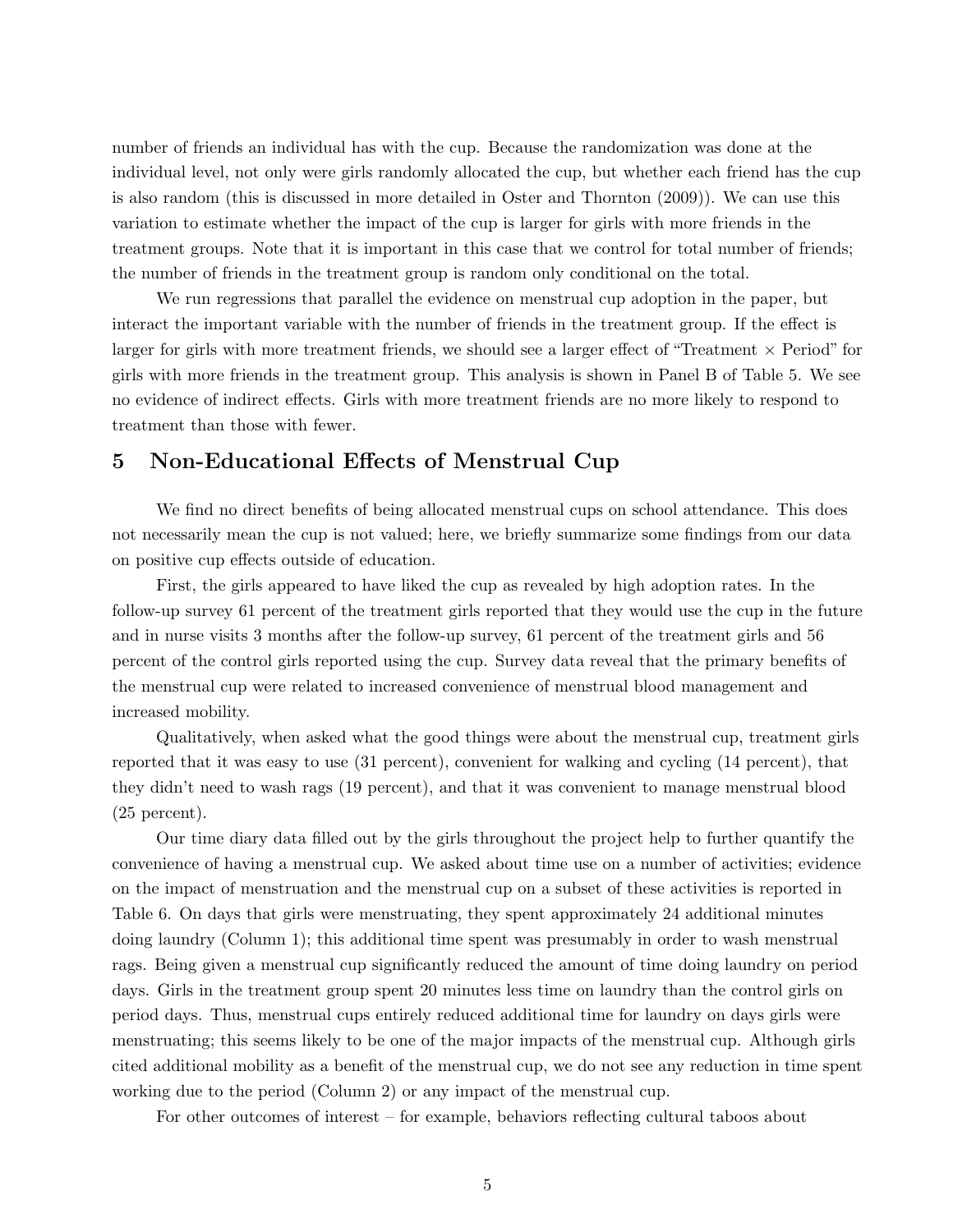number of friends an individual has with the cup. Because the randomization was done at the individual level, not only were girls randomly allocated the cup, but whether each friend has the cup is also random (this is discussed in more detailed in Oster and Thornton (2009)). We can use this variation to estimate whether the impact of the cup is larger for girls with more friends in the treatment groups. Note that it is important in this case that we control for total number of friends; the number of friends in the treatment group is random only conditional on the total.

We run regressions that parallel the evidence on menstrual cup adoption in the paper, but interact the important variable with the number of friends in the treatment group. If the effect is larger for girls with more treatment friends, we should see a larger effect of "Treatment  $\times$  Period" for girls with more friends in the treatment group. This analysis is shown in Panel B of Table 5. We see no evidence of indirect effects. Girls with more treatment friends are no more likely to respond to treatment than those with fewer.

### 5 Non-Educational Effects of Menstrual Cup

We find no direct benefits of being allocated menstrual cups on school attendance. This does not necessarily mean the cup is not valued; here, we briefly summarize some findings from our data on positive cup effects outside of education.

First, the girls appeared to have liked the cup as revealed by high adoption rates. In the follow-up survey 61 percent of the treatment girls reported that they would use the cup in the future and in nurse visits 3 months after the follow-up survey, 61 percent of the treatment girls and 56 percent of the control girls reported using the cup. Survey data reveal that the primary benefits of the menstrual cup were related to increased convenience of menstrual blood management and increased mobility.

Qualitatively, when asked what the good things were about the menstrual cup, treatment girls reported that it was easy to use (31 percent), convenient for walking and cycling (14 percent), that they didn't need to wash rags (19 percent), and that it was convenient to manage menstrual blood (25 percent).

Our time diary data filled out by the girls throughout the project help to further quantify the convenience of having a menstrual cup. We asked about time use on a number of activities; evidence on the impact of menstruation and the menstrual cup on a subset of these activities is reported in Table 6. On days that girls were menstruating, they spent approximately 24 additional minutes doing laundry (Column 1); this additional time spent was presumably in order to wash menstrual rags. Being given a menstrual cup significantly reduced the amount of time doing laundry on period days. Girls in the treatment group spent 20 minutes less time on laundry than the control girls on period days. Thus, menstrual cups entirely reduced additional time for laundry on days girls were menstruating; this seems likely to be one of the major impacts of the menstrual cup. Although girls cited additional mobility as a benefit of the menstrual cup, we do not see any reduction in time spent working due to the period (Column 2) or any impact of the menstrual cup.

For other outcomes of interest – for example, behaviors reflecting cultural taboos about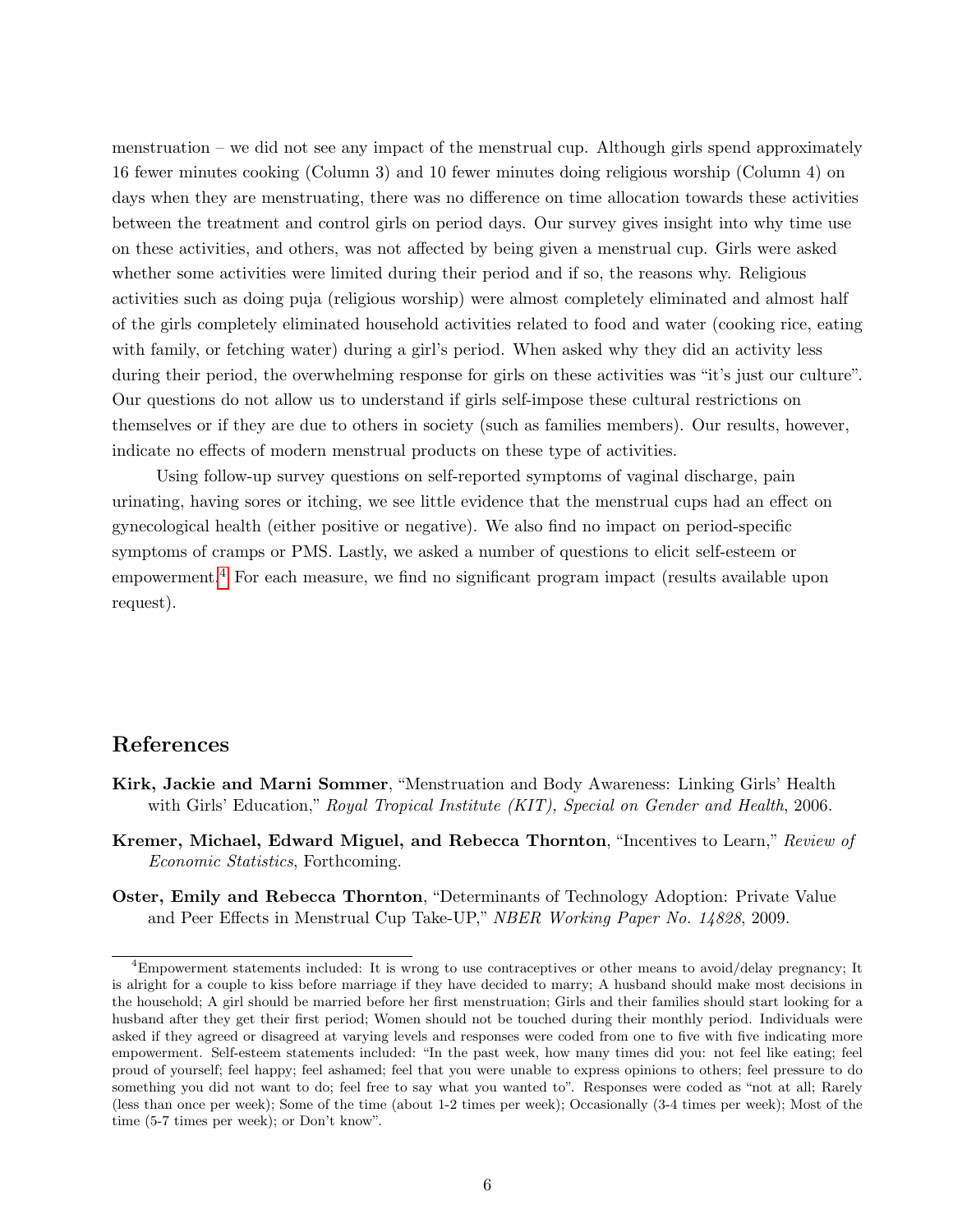menstruation – we did not see any impact of the menstrual cup. Although girls spend approximately 16 fewer minutes cooking (Column 3) and 10 fewer minutes doing religious worship (Column 4) on days when they are menstruating, there was no difference on time allocation towards these activities between the treatment and control girls on period days. Our survey gives insight into why time use on these activities, and others, was not affected by being given a menstrual cup. Girls were asked whether some activities were limited during their period and if so, the reasons why. Religious activities such as doing puja (religious worship) were almost completely eliminated and almost half of the girls completely eliminated household activities related to food and water (cooking rice, eating with family, or fetching water) during a girl's period. When asked why they did an activity less during their period, the overwhelming response for girls on these activities was "it's just our culture". Our questions do not allow us to understand if girls self-impose these cultural restrictions on themselves or if they are due to others in society (such as families members). Our results, however, indicate no effects of modern menstrual products on these type of activities.

Using follow-up survey questions on self-reported symptoms of vaginal discharge, pain urinating, having sores or itching, we see little evidence that the menstrual cups had an effect on gynecological health (either positive or negative). We also find no impact on period-specific symptoms of cramps or PMS. Lastly, we asked a number of questions to elicit self-esteem or empowerment.[4](#page-5-0) For each measure, we find no significant program impact (results available upon request).

### References

- Kirk, Jackie and Marni Sommer, "Menstruation and Body Awareness: Linking Girls' Health with Girls' Education," Royal Tropical Institute (KIT), Special on Gender and Health, 2006.
- Kremer, Michael, Edward Miguel, and Rebecca Thornton, "Incentives to Learn," Review of Economic Statistics, Forthcoming.
- Oster, Emily and Rebecca Thornton, "Determinants of Technology Adoption: Private Value and Peer Effects in Menstrual Cup Take-UP," NBER Working Paper No. 14828, 2009.

<span id="page-5-0"></span><sup>4</sup>Empowerment statements included: It is wrong to use contraceptives or other means to avoid/delay pregnancy; It is alright for a couple to kiss before marriage if they have decided to marry; A husband should make most decisions in the household; A girl should be married before her first menstruation; Girls and their families should start looking for a husband after they get their first period; Women should not be touched during their monthly period. Individuals were asked if they agreed or disagreed at varying levels and responses were coded from one to five with five indicating more empowerment. Self-esteem statements included: "In the past week, how many times did you: not feel like eating; feel proud of yourself; feel happy; feel ashamed; feel that you were unable to express opinions to others; feel pressure to do something you did not want to do; feel free to say what you wanted to". Responses were coded as "not at all; Rarely (less than once per week); Some of the time (about 1-2 times per week); Occasionally (3-4 times per week); Most of the time (5-7 times per week); or Don't know".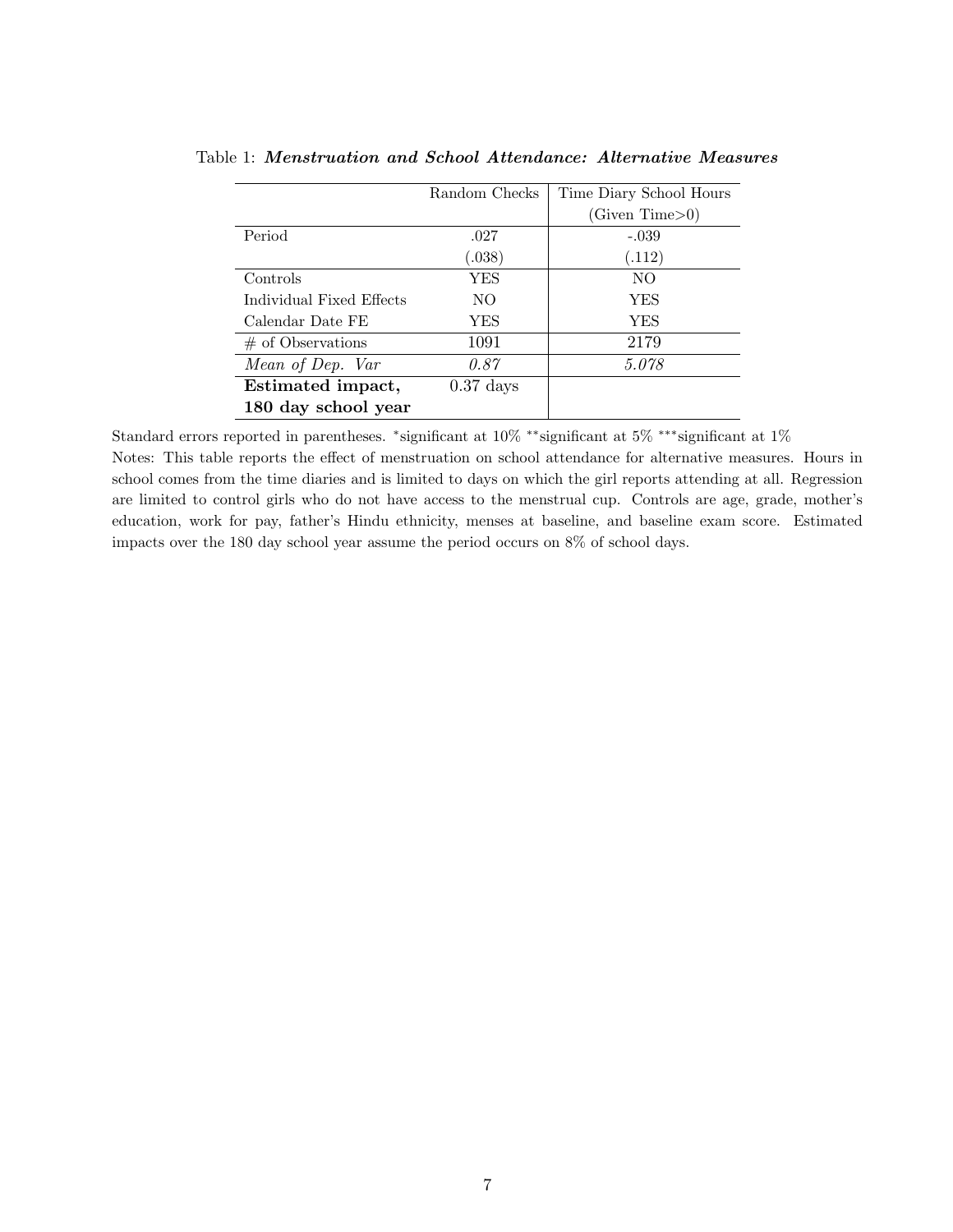|                          | Random Checks | Time Diary School Hours |
|--------------------------|---------------|-------------------------|
|                          |               | (Given Time>0)          |
| Period                   | .027          | $-.039$                 |
|                          | (.038)        | (.112)                  |
| Controls                 | YES           | NO.                     |
| Individual Fixed Effects | NO.           | YES                     |
| Calendar Date FE         | YES           | <b>YES</b>              |
| $#$ of Observations      | 1091          | 2179                    |
| Mean of Dep. Var         | 0.87          | 5.078                   |
| Estimated impact,        | $0.37$ days   |                         |
| 180 day school year      |               |                         |

Table 1: Menstruation and School Attendance: Alternative Measures

Standard errors reported in parentheses. <sup>∗</sup> significant at 10% ∗∗significant at 5% ∗∗∗significant at 1% Notes: This table reports the effect of menstruation on school attendance for alternative measures. Hours in school comes from the time diaries and is limited to days on which the girl reports attending at all. Regression are limited to control girls who do not have access to the menstrual cup. Controls are age, grade, mother's education, work for pay, father's Hindu ethnicity, menses at baseline, and baseline exam score. Estimated impacts over the 180 day school year assume the period occurs on 8% of school days.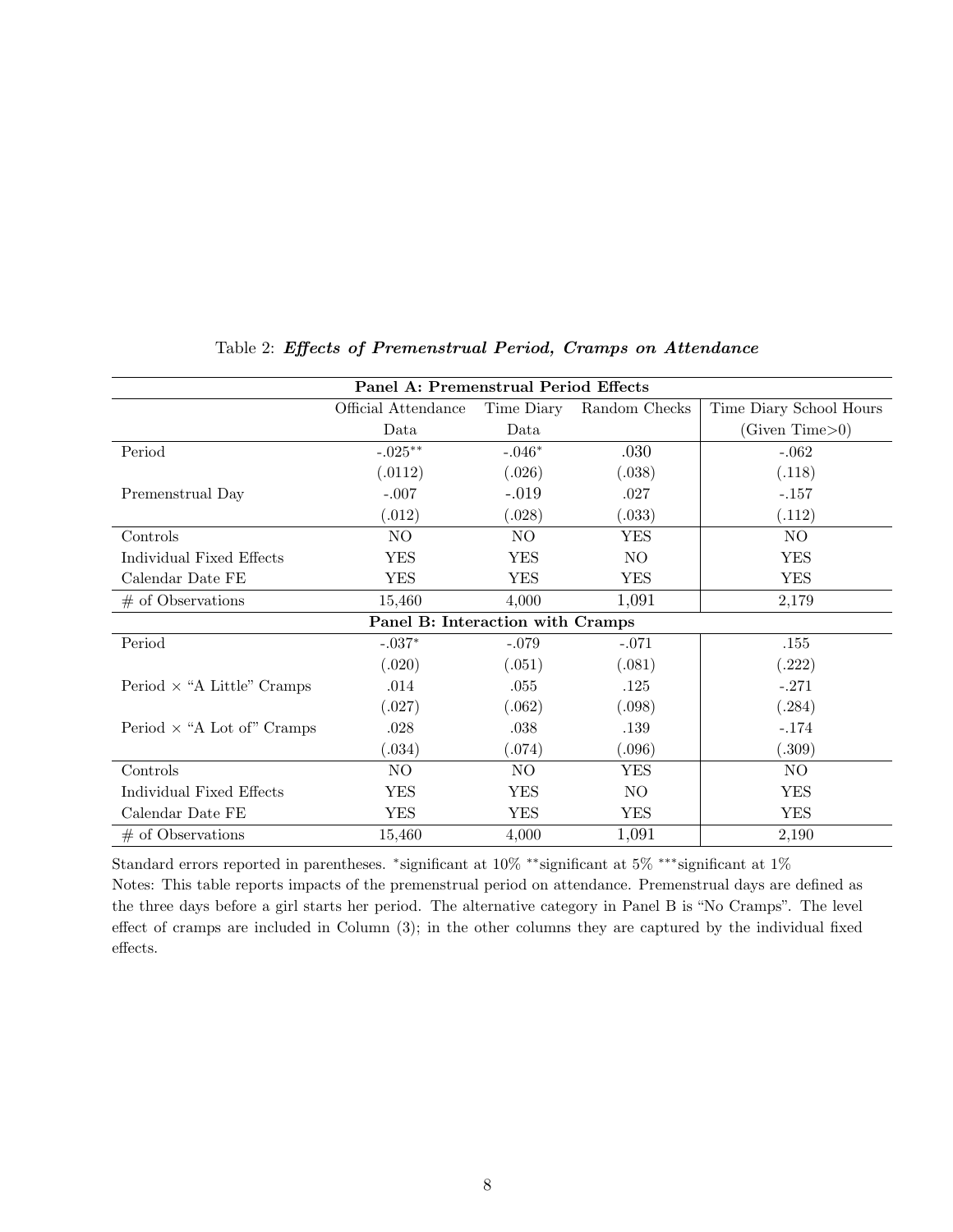| Panel A: Premenstrual Period Effects |                     |            |               |                         |  |  |
|--------------------------------------|---------------------|------------|---------------|-------------------------|--|--|
|                                      | Official Attendance | Time Diary | Random Checks | Time Diary School Hours |  |  |
|                                      | Data                | Data       |               | (Given Time>0)          |  |  |
| Period                               | $-.025***$          | $-.046*$   | .030          | $-.062$                 |  |  |
|                                      | (.0112)             | (.026)     | (.038)        | (.118)                  |  |  |
| Premenstrual Day                     | $-.007$             | $-.019$    | .027          | $-.157$                 |  |  |
|                                      | (.012)              | (.028)     | (.033)        | (.112)                  |  |  |
| Controls                             | NO.                 | NO.        | <b>YES</b>    | NO.                     |  |  |
| Individual Fixed Effects             | <b>YES</b>          | <b>YES</b> | NO            | <b>YES</b>              |  |  |
| Calendar Date FE                     | <b>YES</b>          | <b>YES</b> | <b>YES</b>    | <b>YES</b>              |  |  |
| $#$ of Observations                  | 15,460              | 4,000      | 1,091         | 2,179                   |  |  |
| Panel B: Interaction with Cramps     |                     |            |               |                         |  |  |
| Period                               | $-.037*$            | $-.079$    | $-.071$       | .155                    |  |  |
|                                      | (.020)              | (.051)     | (.081)        | (.222)                  |  |  |
| Period $\times$ "A Little" Cramps    | .014                | .055       | .125          | $-.271$                 |  |  |
|                                      | (.027)              | (.062)     | (.098)        | (.284)                  |  |  |
| Period $\times$ "A Lot of" Cramps    | .028                | .038       | .139          | $-.174$                 |  |  |
|                                      | (.034)              | (.074)     | (.096)        | (.309)                  |  |  |
| Controls                             | NO.                 | NO.        | YES           | NO.                     |  |  |
| Individual Fixed Effects             | <b>YES</b>          | <b>YES</b> | NO            | <b>YES</b>              |  |  |
| Calendar Date FE                     | <b>YES</b>          | <b>YES</b> | YES           | <b>YES</b>              |  |  |
| $#$ of Observations                  | 15,460              | 4,000      | 1,091         | 2,190                   |  |  |

#### Table 2: Effects of Premenstrual Period, Cramps on Attendance

Standard errors reported in parentheses. <sup>∗</sup> significant at 10% ∗∗significant at 5% ∗∗∗significant at 1% Notes: This table reports impacts of the premenstrual period on attendance. Premenstrual days are defined as the three days before a girl starts her period. The alternative category in Panel B is "No Cramps". The level effect of cramps are included in Column (3); in the other columns they are captured by the individual fixed effects.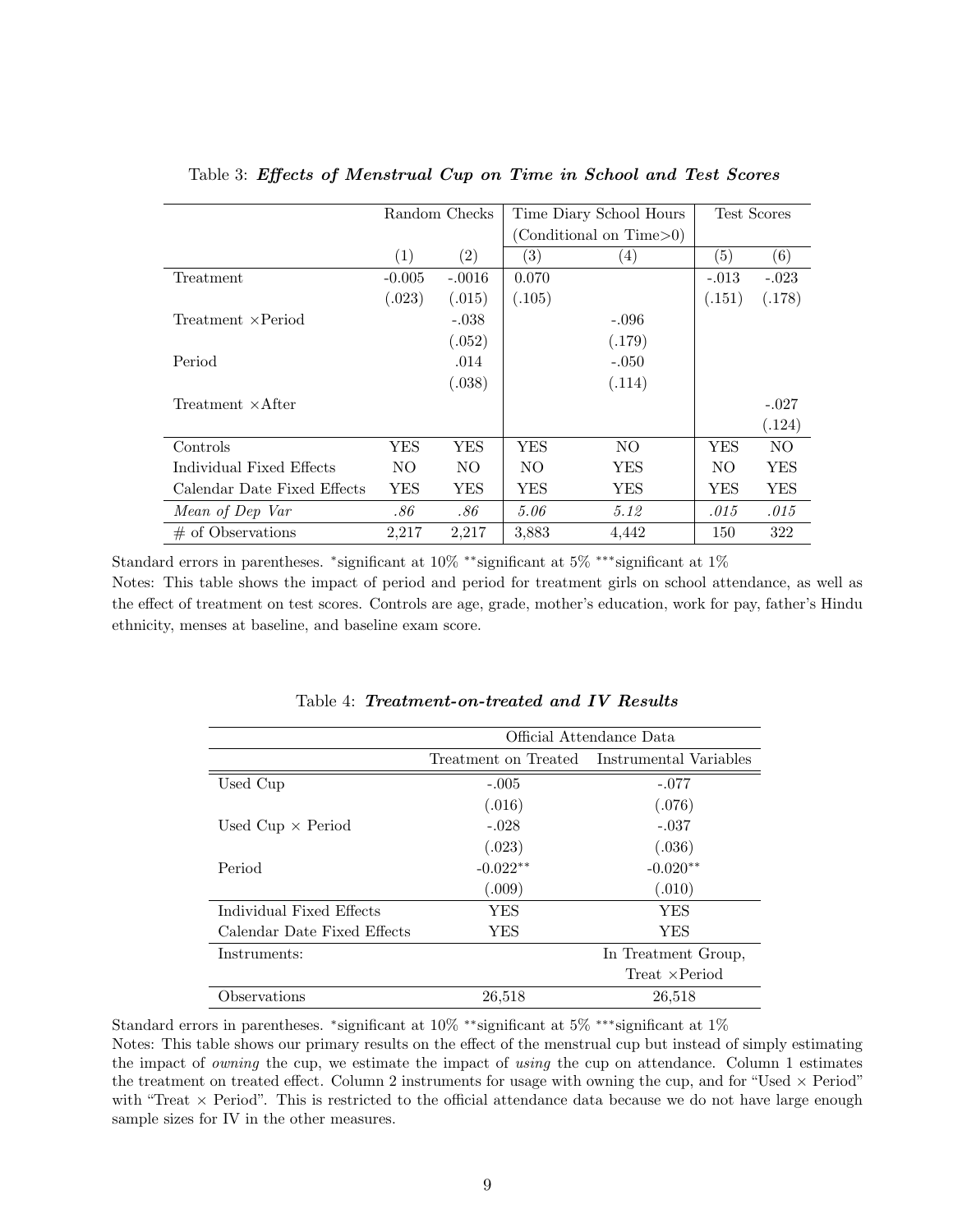|                             | Random Checks |                   |                         | Time Diary School Hours | Test Scores |         |
|-----------------------------|---------------|-------------------|-------------------------|-------------------------|-------------|---------|
|                             |               |                   | (Conditional on Time>0) |                         |             |         |
|                             | (1)           | $\left( 2\right)$ | $\left( 3\right)$       | $\left( 4\right)$       | (5)         | (6)     |
| Treatment                   | $-0.005$      | $-.0016$          | 0.070                   |                         | $-.013$     | $-.023$ |
|                             | (.023)        | (.015)            | (.105)                  |                         | (.151)      | (.178)  |
| $Treatment \times Period$   |               | $-.038$           |                         | $-.096$                 |             |         |
|                             |               | (.052)            |                         | (.179)                  |             |         |
| Period                      |               | .014              |                         | $-.050$                 |             |         |
|                             |               | (.038)            |                         | (.114)                  |             |         |
| Treatment $\times$ After    |               |                   |                         |                         |             | $-.027$ |
|                             |               |                   |                         |                         |             | (.124)  |
| Controls                    | YES           | YES               | YES                     | NO                      | <b>YES</b>  | NO      |
| Individual Fixed Effects    | NO.           | NO.               | NO.                     | YES                     | NO.         | YES     |
| Calendar Date Fixed Effects | YES           | YES               | YES                     | YES                     | YES         | YES     |
| Mean of Dep Var             | .86           | .86               | 5.06                    | 5.12                    | .015        | .015    |
| $\#$ of Observations        | 2,217         | 2,217             | 3,883                   | 4,442                   | 150         | 322     |

#### Table 3: Effects of Menstrual Cup on Time in School and Test Scores

Standard errors in parentheses. <sup>∗</sup> significant at 10% ∗∗significant at 5% ∗∗∗significant at 1% Notes: This table shows the impact of period and period for treatment girls on school attendance, as well as the effect of treatment on test scores. Controls are age, grade, mother's education, work for pay, father's Hindu ethnicity, menses at baseline, and baseline exam score.

|                             | Official Attendance Data |                                             |  |  |
|-----------------------------|--------------------------|---------------------------------------------|--|--|
|                             |                          | Treatment on Treated Instrumental Variables |  |  |
| Used Cup                    | $-.005$                  | $-.077$                                     |  |  |
|                             | (.016)                   | (.076)                                      |  |  |
| Used $Cup \times Period$    | $-.028$                  | $-.037$                                     |  |  |
|                             | (.023)                   | (.036)                                      |  |  |
| Period                      | $-0.022**$               | $-0.020**$                                  |  |  |
|                             | (.009)                   | (.010)                                      |  |  |
| Individual Fixed Effects    | YES                      | <b>YES</b>                                  |  |  |
| Calendar Date Fixed Effects | YES                      | <b>YES</b>                                  |  |  |
| Instruments:                |                          | In Treatment Group,                         |  |  |
|                             |                          | Treat $\times$ Period                       |  |  |
| Observations                | 26,518                   | 26,518                                      |  |  |

Table 4: Treatment-on-treated and IV Results

Standard errors in parentheses. <sup>∗</sup> significant at 10% ∗∗significant at 5% ∗∗∗significant at 1%

Notes: This table shows our primary results on the effect of the menstrual cup but instead of simply estimating the impact of owning the cup, we estimate the impact of using the cup on attendance. Column 1 estimates the treatment on treated effect. Column 2 instruments for usage with owning the cup, and for "Used  $\times$  Period" with "Treat  $\times$  Period". This is restricted to the official attendance data because we do not have large enough sample sizes for IV in the other measures.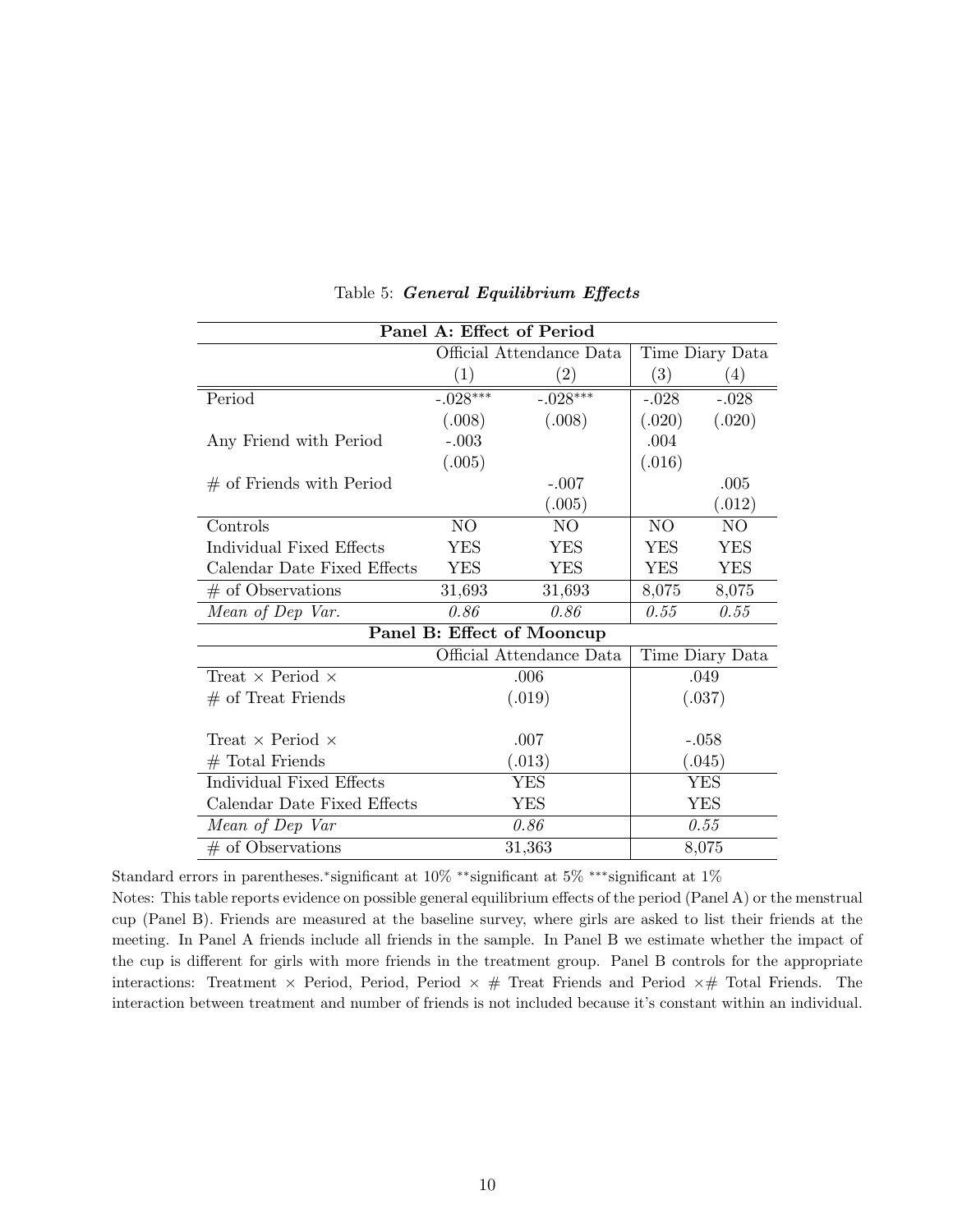| Panel A: Effect of Period      |                          |                            |                 |                 |  |
|--------------------------------|--------------------------|----------------------------|-----------------|-----------------|--|
|                                | Official Attendance Data |                            |                 | Time Diary Data |  |
|                                | (1)                      | $\left( 2\right)$          | (3)             | (4)             |  |
| Period                         | $-.028***$               | $-.028***$                 | $-.028$         | $-.028$         |  |
|                                | (.008)                   | (.008)                     | (.020)          | (.020)          |  |
| Any Friend with Period         | $-.003$                  |                            | .004            |                 |  |
|                                | (.005)                   |                            | (.016)          |                 |  |
| $#$ of Friends with Period     |                          | $-.007$                    |                 | .005            |  |
|                                |                          | (.005)                     |                 | (.012)          |  |
| Controls                       | NO                       | N <sub>O</sub>             | N <sub>O</sub>  | NO              |  |
| Individual Fixed Effects       | <b>YES</b>               | <b>YES</b>                 | <b>YES</b>      | <b>YES</b>      |  |
| Calendar Date Fixed Effects    | <b>YES</b>               | <b>YES</b>                 | <b>YES</b>      | <b>YES</b>      |  |
| $#$ of Observations            | 31,693                   | 31,693                     | 8,075           | 8,075           |  |
| Mean of Dep Var.               | 0.86                     | 0.86                       | 0.55            | 0.55            |  |
|                                |                          | Panel B: Effect of Mooncup |                 |                 |  |
|                                |                          | Official Attendance Data   | Time Diary Data |                 |  |
| Treat $\times$ Period $\times$ | .006                     |                            | .049            |                 |  |
| $#$ of Treat Friends           | (.019)                   |                            | (.037)          |                 |  |
|                                |                          |                            |                 |                 |  |
| Treat $\times$ Period $\times$ | .007                     |                            | $-.058$         |                 |  |
| $#$ Total Friends              | (.013)                   |                            | (.045)          |                 |  |
| Individual Fixed Effects       | <b>YES</b>               |                            | <b>YES</b>      |                 |  |
| Calendar Date Fixed Effects    | <b>YES</b>               |                            | <b>YES</b>      |                 |  |
| Mean of Dep Var                | 0.86                     |                            | 0.55            |                 |  |
| $#$ of Observations            | 31,363                   |                            | 8,075           |                 |  |

Table 5: General Equilibrium Effects

Standard errors in parentheses.<sup>∗</sup> significant at 10% ∗∗significant at 5% ∗∗∗significant at 1%

Notes: This table reports evidence on possible general equilibrium effects of the period (Panel A) or the menstrual cup (Panel B). Friends are measured at the baseline survey, where girls are asked to list their friends at the meeting. In Panel A friends include all friends in the sample. In Panel B we estimate whether the impact of the cup is different for girls with more friends in the treatment group. Panel B controls for the appropriate interactions: Treatment  $\times$  Period, Period, Period  $\times$  # Treat Friends and Period  $\times$  # Total Friends. The interaction between treatment and number of friends is not included because it's constant within an individual.